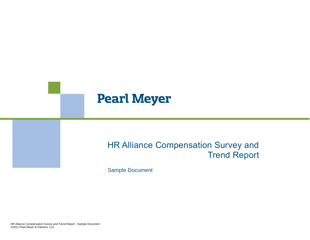# **Pearl Meyer**

# HR Alliance Compensation Survey and Trend Report

Sample Document

HR Alliance Compensation Survey and Trend Report HR Alliance Compensation Survey and Trend Report - Sample Document ©2021 Pearl Meyer & Partners, LLC ©2021 Pearl Meyer & Partners, LLC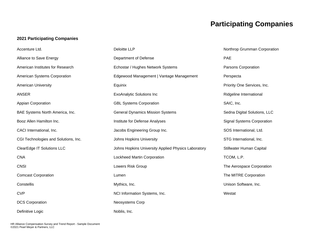# **Participating Companies**

### **2021 Participating Companies**

| Accenture Ltd.                       | <b>Deloitte LLP</b>                                 | Northrop Grumman Corporation      |
|--------------------------------------|-----------------------------------------------------|-----------------------------------|
| Alliance to Save Energy              | Department of Defense                               | <b>PAE</b>                        |
| American Institutes for Research     | Echostar / Hughes Network Systems                   | Parsons Corporation               |
| American Systems Corporation         | Edgewood Management   Vantage Management            | Perspecta                         |
| <b>American University</b>           | Equinix                                             | Priority One Services, Inc.       |
| <b>ANSER</b>                         | <b>ExoAnalytic Solutions Inc</b>                    | Ridgeline International           |
| Appian Corporation                   | <b>GBL Systems Corporation</b>                      | SAIC, Inc.                        |
| BAE Systems North America, Inc.      | <b>General Dynamics Mission Systems</b>             | Sedna Digital Solutions, LLC      |
| Booz Allen Hamilton Inc.             | Institute for Defense Analyses                      | <b>Signal Systems Corporation</b> |
| CACI International, Inc.             | Jacobs Engineering Group Inc.                       | SOS International, Ltd.           |
| CGI Technologies and Solutions, Inc. | <b>Johns Hopkins University</b>                     | STG International, Inc.           |
| <b>ClearEdge IT Solutions LLC</b>    | Johns Hopkins University Applied Physics Laboratory | Stillwater Human Capital          |
| <b>CNA</b>                           | Lockheed Martin Corporation                         | TCOM, L.P.                        |
| <b>CNSI</b>                          | Lowers Risk Group                                   | The Aerospace Corporation         |
| <b>Comcast Corporation</b>           | Lumen                                               | The MITRE Corporation             |
| Constellis                           | Mythics, Inc.                                       | Unison Software, Inc.             |
| <b>CVP</b>                           | NCI Information Systems, Inc.                       | Westat                            |
| <b>DCS Corporation</b>               | Neosystems Corp                                     |                                   |
| Definitive Logic                     | Noblis, Inc.                                        |                                   |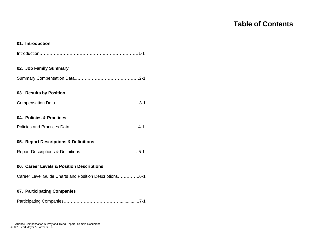# **Table of Contents**

#### **01. Introduction**

Introduction……………………………………………………………1-1

### **02. Job Family Summary**

Summary Compensation Data………………………………………2-1

#### **03. Results by Position**

|--|--|

### **04. Policies & Practices**

|--|--|--|--|

#### **05. Report Descriptions & Definitions**

|--|--|--|--|--|--|

#### **06. Career Levels & Position Descriptions**

Career Level Guide Charts and Position Descriptions…………...6-1

#### **07. Participating Companies**

Participating Companies…………………………………................7-1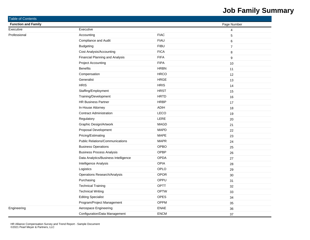# **Job Family Summary**

| Table of Contents          |                                        |             |                  |
|----------------------------|----------------------------------------|-------------|------------------|
| <b>Function and Family</b> |                                        |             | Page Number      |
| Executive                  | Executive                              |             | $\overline{4}$   |
| Professional               | Accounting                             | <b>FIAC</b> | $\overline{5}$   |
|                            | Compliance and Audit                   | <b>FIAU</b> | 6                |
|                            | <b>Budgeting</b>                       | <b>FIBU</b> | $\boldsymbol{7}$ |
|                            | Cost Analysis/Accounting               | <b>FICA</b> | 8                |
|                            | Financial Planning and Analysis        | <b>FIFA</b> | $\boldsymbol{9}$ |
|                            | <b>Project Accounting</b>              | <b>FIPA</b> | 10               |
|                            | <b>Benefits</b>                        | <b>HRBN</b> | 11               |
|                            | Compensation                           | <b>HRCO</b> | 12               |
|                            | Generalist                             | HRGE        | 13               |
|                            | <b>HRIS</b>                            | <b>HRIS</b> | 14               |
|                            | Staffing/Employment                    | <b>HRST</b> | 15               |
|                            | Training/Development                   | <b>HRTD</b> | 16               |
|                            | <b>HR Business Partner</b>             | <b>HRBP</b> | 17               |
|                            | In-House Attorney                      | <b>ADIH</b> | 18               |
|                            | <b>Contract Administration</b>         | LECO        | 19               |
|                            | Regulatory                             | LERE        | 20               |
|                            | Graphic Design/Artwork                 | <b>MAGD</b> | 21               |
|                            | Proposal Development                   | <b>MAPD</b> | 22               |
|                            | Pricing/Estimating                     | <b>MAPE</b> | 23               |
|                            | <b>Public Relations/Communications</b> | <b>MAPR</b> | 24               |
|                            | <b>Business Operations</b>             | OPBO        | 25               |
|                            | <b>Business Process Analysis</b>       | OPBP        | 26               |
|                            | Data Analytics/Business Intelligence   | <b>OPDA</b> | 27               |
|                            | Intelligence Analysis                  | <b>OPIA</b> | 28               |
|                            | Logistics                              | OPLO        | 29               |
|                            | <b>Operations Research/Analysis</b>    | <b>OPOR</b> | 30               |
|                            | Purchasing                             | OPPU        | 31               |
|                            | <b>Technical Training</b>              | <b>OPTT</b> | 32               |
|                            | <b>Technical Writing</b>               | <b>OPTW</b> | 33               |
|                            | <b>Editing Specialist</b>              | OPES        | 34               |
|                            | Program/Project Management             | OPPM        | 35               |
| Engineering                | Aerospace Engineering                  | ENAE        | 36               |
|                            | Configuration/Data Management          | <b>ENCM</b> | 37               |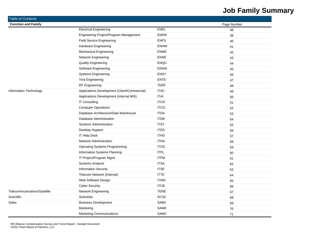# **Job Family Summary**

| <b>Table of Contents</b>      |                                              |             |             |
|-------------------------------|----------------------------------------------|-------------|-------------|
| <b>Function and Family</b>    |                                              |             | Page Number |
|                               | <b>Electrical Engineering</b>                | <b>ENEL</b> | 38          |
|                               | Engineering Project/Program Management       | <b>ENPM</b> | 39          |
|                               | <b>Field Service Engineering</b>             | <b>ENFS</b> | 40          |
|                               | Hardware Engineering                         | <b>ENHW</b> | 41          |
|                               | <b>Mechanical Engineering</b>                | <b>ENME</b> | 42          |
|                               | Network Engineering                          | <b>ENNE</b> | 43          |
|                               | <b>Quality Engineering</b>                   | ENQU        | 44          |
|                               | Software Engineering                         | <b>ENSW</b> | 45          |
|                               | <b>Systems Engineering</b>                   | <b>ENSY</b> | 46          |
|                               | <b>Test Engineering</b>                      | <b>ENTE</b> | 47          |
|                               | <b>RF Engineering</b>                        | <b>TERF</b> | 48          |
| <b>Information Technology</b> | Applications Development (Client/Commercial) | <b>ITAC</b> | 49          |
|                               | Applications Development (Internal MIS)      | <b>ITAI</b> | 50          |
|                               | IT Consulting                                | <b>ITCN</b> | 51          |
|                               | <b>Computer Operations</b>                   | <b>ITCO</b> | 52          |
|                               | Database Architecture/Data Warehouse         | <b>ITDA</b> | 53          |
|                               | Database Administration                      | <b>ITDB</b> | 54          |
|                               | <b>Systems Administration</b>                | <b>ITSY</b> | 55          |
|                               | Desktop Support                              | <b>ITDS</b> | 56          |
|                               | IT Help Desk                                 | <b>ITHD</b> | 57          |
|                               | <b>Network Administration</b>                | <b>ITNA</b> | 58          |
|                               | <b>Operating Systems Programming</b>         | <b>ITOS</b> | 59          |
|                               | Information Systems Planning                 | <b>ITPL</b> | 60          |
|                               | IT Project/Program Mgmt                      | <b>ITPM</b> | 61          |
|                               | <b>Systems Analysis</b>                      | <b>ITSA</b> | 62          |
|                               | <b>Information Security</b>                  | <b>ITSE</b> | 63          |
|                               | Telecom Network (Internal)                   | <b>ITTE</b> | 64          |
|                               | Web Software Design                          | <b>ITWD</b> | 65          |
|                               | <b>Cyber Security</b>                        | <b>ITCB</b> | 66          |
| Telecommunications/Satellite  | Network Engineering                          | <b>TENE</b> | 67          |
| Scientific                    | <b>Scientists</b>                            | <b>SCSC</b> | 68          |
| Sales                         | <b>Business Development</b>                  | <b>SABD</b> | 69          |
|                               | Marketing                                    | <b>SAMK</b> | 70          |
|                               | <b>Marketing Communications</b>              | <b>SAMC</b> | 71          |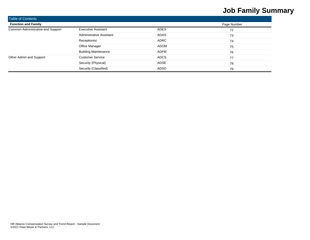# **Job Family Summary**

| <b>Table of Contents</b>          |                                 |             |    |  |  |  |  |  |
|-----------------------------------|---------------------------------|-------------|----|--|--|--|--|--|
| <b>Function and Family</b>        | Page Number                     |             |    |  |  |  |  |  |
| Common Administrative and Support | <b>Executive Assistant</b>      | <b>ADES</b> | 72 |  |  |  |  |  |
|                                   | <b>Administrative Assistant</b> | ADAS        | 73 |  |  |  |  |  |
|                                   | Receptionist                    | ADRC        | 74 |  |  |  |  |  |
|                                   | Office Manager                  | <b>ADOM</b> | 75 |  |  |  |  |  |
|                                   | <b>Building Maintenance</b>     | <b>ADFM</b> | 76 |  |  |  |  |  |
| Other Admin and Support           | <b>Customer Service</b>         | <b>ADCS</b> | 77 |  |  |  |  |  |
|                                   | Security (Physical)             | <b>ADSE</b> | 78 |  |  |  |  |  |
|                                   | Security (Classified)           | <b>ADSD</b> | 79 |  |  |  |  |  |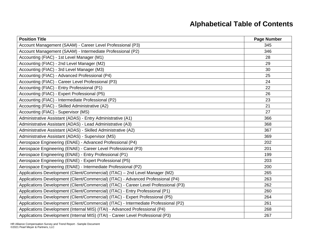# **Alphabetical Table of Contents**

| <b>Position Title</b>                                                                | Page Number |
|--------------------------------------------------------------------------------------|-------------|
| Account Management (SAAM) - Career Level Professional (P3)                           | 345         |
| Account Management (SAAM) - Intermediate Professional (P2)                           | 346         |
| Accounting (FIAC) - 1st Level Manager (M1)                                           | 28          |
| Accounting (FIAC) - 2nd Level Manager (M2)                                           | 29          |
| Accounting (FIAC) - 3rd Level Manager (M3)                                           | 30          |
| Accounting (FIAC) - Advanced Professional (P4)                                       | 25          |
| Accounting (FIAC) - Career Level Professional (P3)                                   | 24          |
| Accounting (FIAC) - Entry Professional (P1)                                          | 22          |
| Accounting (FIAC) - Expert Professional (P5)                                         | 26          |
| Accounting (FIAC) - Intermediate Professional (P2)                                   | 23          |
| Accounting (FIAC) - Skilled Administrative (A2)                                      | 21          |
| Accounting (FIAC) - Supervisor (MS)                                                  | 27          |
| Administrative Assistant (ADAS) - Entry Administrative (A1)                          | 366         |
| Administrative Assistant (ADAS) - Lead Administrative (A3)                           | 368         |
| Administrative Assistant (ADAS) - Skilled Administrative (A2)                        | 367         |
| Administrative Assistant (ADAS) - Supervisor (MS)                                    | 369         |
| Aerospace Engineering (ENAE) - Advanced Professional (P4)                            | 202         |
| Aerospace Engineering (ENAE) - Career Level Professional (P3)                        | 201         |
| Aerospace Engineering (ENAE) - Entry Professional (P1)                               | 199         |
| Aerospace Engineering (ENAE) - Expert Professional (P5)                              | 203         |
| Aerospace Engineering (ENAE) - Intermediate Professional (P2)                        | 200         |
| Applications Development (Client/Commercial) (ITAC) - 2nd Level Manager (M2)         | 265         |
| Applications Development (Client/Commercial) (ITAC) - Advanced Professional (P4)     | 263         |
| Applications Development (Client/Commercial) (ITAC) - Career Level Professional (P3) | 262         |
| Applications Development (Client/Commercial) (ITAC) - Entry Professional (P1)        | 260         |
| Applications Development (Client/Commercial) (ITAC) - Expert Professional (P5)       | 264         |
| Applications Development (Client/Commercial) (ITAC) - Intermediate Professional (P2) | 261         |
| Applications Development (Internal MIS) (ITAI) - Advanced Professional (P4)          | 268         |
| Applications Development (Internal MIS) (ITAI) - Career Level Professional (P3)      | 267         |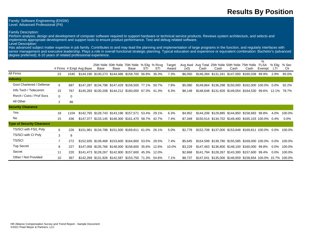## **Results By Position**

#### Family: Software Engineering (ENSW) Level: Advanced Professional (P4)

#### Family Description:

Perform analysis, design and development of computer software required to support hardware or technical service products. Reviews system architecture, and selects and implements appropriate development and support tools to ensure product performance. Test and debug related software. Level Description:

Has advanced subject matter expertise in job family. Contributes to and may lead the planning and implementation of large programs in the function, and regularly interfaces with senior management and executive leadership. Plays a role in overall functional strategic planning. Typical education and experience or equivalent combination: Bachelor's (advanced degree preferred); 8-10 years of related professional experience.

|                                   |                |             |                         |      |      |                                                        |     |             |                 |         |      |      |                                                                    |      | %      |                      |              |
|-----------------------------------|----------------|-------------|-------------------------|------|------|--------------------------------------------------------|-----|-------------|-----------------|---------|------|------|--------------------------------------------------------------------|------|--------|----------------------|--------------|
|                                   |                |             | # Firms # Empl Avg Base | Base | Base | 25th %tile 50th %tile 75th %tile % Elig % Rcvg<br>Base | STI | STI         | Target<br>Award | (x0)    | Cash | Cash | Avg Awd Avg Total 25th % tile 50th % tile 75th % tile FLSA<br>Cash | Cash | Exempt | % Elia<br><b>LTI</b> | % Sec<br>Clr |
| All Firms                         | 23             | 1540        |                         |      |      | \$144,190 \$130,273 \$144,486 \$158,700 56.8% 36.3%    |     |             | 7.3%            | \$6,050 |      |      | \$146,384 \$131,341 \$147,000 \$160,038 99.9%                      |      |        | 2.9%                 | 85.0%        |
| <b>Industry</b>                   |                |             |                         |      |      |                                                        |     |             |                 |         |      |      |                                                                    |      |        |                      |              |
| Govt Chartered / Defense          | 6              | 687         |                         |      |      | \$147,287 \$134,798 \$147,429 \$159,500 77.1% 50.7%    |     |             | 7.8%            | \$5,080 |      |      | \$149,864 \$136,298 \$150,000 \$162,000 100.0% 0.0%                |      |        |                      | 92.2%        |
| Info Tech / Telecomm              | 15             | 767         |                         |      |      | \$145,283 \$130,208 \$144,212 \$160,000 67.3% 41.3%    |     |             | 6.3%            | \$8,148 |      |      | \$148,648 \$131,926 \$149,054 \$164,530 99.6%                      |      |        |                      | 12.1% 78.7%  |
| Rsrch / Cons / Prof Sycs          | $\Omega$       | $\mathbf 0$ |                         |      |      |                                                        |     |             |                 |         |      |      |                                                                    |      |        |                      |              |
| All Other                         | $\overline{2}$ | 86          |                         |      |      |                                                        |     |             |                 |         |      |      |                                                                    |      |        |                      |              |
| <b>Security Clearance</b>         |                |             |                         |      |      |                                                        |     |             |                 |         |      |      |                                                                    |      |        |                      |              |
| Yes                               | 18             | 1104        |                         |      |      | \$142,765 \$128,743 \$143,196 \$157,571 53.4% 29.1%    |     |             | 6.3%            | \$4,952 |      |      | \$144,206 \$129,885 \$144,850 \$158,683 99.8%                      |      |        | 4.0%                 | 100.0%       |
| No                                | 15             | 436         |                         |      |      | \$147,377 \$133,145 \$146,300 \$161,470 58.7% 42.7%    |     |             | 7.4%            | \$7,349 |      |      | \$150,514 \$134,702 \$149,400 \$165,103 100.0% 0.4%                |      |        |                      | $0.0\%$      |
| <b>Type of Security Clearance</b> |                |             |                         |      |      |                                                        |     |             |                 |         |      |      |                                                                    |      |        |                      |              |
| TS/SCI with FS/L Poly             | 6              | 226         |                         |      |      | \$151,981 \$134,798 \$151,500 \$169,811                |     | 61.0% 26.1% | 5.0%            | \$2,778 |      |      | \$152,708 \$137,000 \$153,648 \$169,811 100.0% 0.0%                |      |        |                      | 100.0%       |
| TS/SCI with CI Poly               | 3              | 8           |                         |      |      |                                                        |     |             |                 |         |      |      |                                                                    |      |        |                      |              |
| <b>TS/SCI</b>                     | 7              | 272         |                         |      |      | \$152,935 \$139,468 \$153,600 \$164,800 53.5% 29.5%    |     |             | 7.4%            | \$5,645 |      |      | \$154,599 \$139,780 \$155,585 \$169,000 100.0% 0.0%                |      |        |                      | 100.0%       |
| <b>Top Secret</b>                 | 8              | 227         |                         |      |      | \$147,056 \$135,766 \$148,000 \$158,600 35.6% 12.6%    |     |             | 10.0%           | \$3,229 |      |      | \$147,463 \$136,800 \$148,100 \$160,000 99.8%                      |      |        | $0.0\%$              | 100.0%       |
| Secret                            | 11             | 220         |                         |      |      | \$141,473 \$128,267 \$142,900 \$157,600 45.3% 12.0%    |     |             |                 | \$2,668 |      |      | \$141,794 \$128,267 \$143,300 \$157,600 99.4%                      |      |        | $0.0\%$              | 100.0%       |
| Other / Not Provided              | 10             | 367         |                         |      |      | \$142,269 \$131,926 \$142,587 \$153,750 71.3% 54.6%    |     |             | 7.1%            | \$8,737 |      |      | \$147,041 \$135,000 \$148,659 \$158,654 100.0% 15.7% 100.0%        |      |        |                      |              |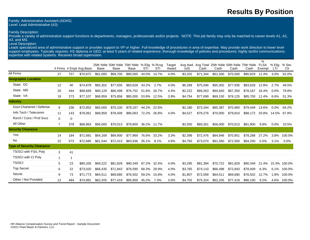## **Results By Position**

#### Family: Administrative Assistant (ADAS) Level: Lead Administrative (A3)

#### Family Description:

Provide a variety of administrative support functions to departments, managers, professionals and/or projects. NOTE: This job family may only be matched to career levels A1, A2, A3, and MS.

#### Level Description:

Leads specialized area of administrative support or provides support to VP or higher. Full knowledge of procedures in area of expertise. May provide work direction to lower level support employees. Typically requires: HS diploma or GED; at least 5 years of related experience; thorough knowledge of policies and procedures; highly tactful communications; expertise with related systems. Receives broad supervision.

|                                   |                |             |                         |          |          |                                                               |       |             |                 |         |          |          |          |                                                                    | $\%$   |                |              |
|-----------------------------------|----------------|-------------|-------------------------|----------|----------|---------------------------------------------------------------|-------|-------------|-----------------|---------|----------|----------|----------|--------------------------------------------------------------------|--------|----------------|--------------|
|                                   |                |             | # Firms # Empl Avg Base | Base     | Base     | 25th %tile 50th %tile 75th %tile % Elig % Rcvg<br><b>Base</b> | STI   | STI         | Target<br>Award | (x0)    | Cash     | Cash     | Cash     | Avg Awd Avg Total 25th % tile 50th % tile 75th % tile FLSA<br>Cash | Exempt | % Elia<br>LTI. | % Sec<br>Clr |
| All Firms                         | 27             | 757         | \$70.872                | \$61,000 | \$69,700 | \$80,565                                                      | 44.0% | 14.7%       | 4.0%            | \$3,202 | \$71.344 | \$61,500 | \$70,000 | \$80,829                                                           | 11.4%  | 3.0%           | 62.0%        |
| <b>Geographic Location</b>        |                |             |                         |          |          |                                                               |       |             |                 |         |          |          |          |                                                                    |        |                |              |
| State: DC                         | 12             | 40          | \$74,878                | \$65,302 | \$77,935 | \$83,628                                                      | 43.2% | 2.7%        | 4.0%            | \$6,268 | \$75,046 | \$65,302 | \$77,935 | \$83,628                                                           | 12.8%  | 2.7%           | 49.5%        |
| State: MD                         | 20             | 444         | \$68,669                | \$60,129 | \$66,498 | \$76,752                                                      | 51.6% | 26.7%       | 4.4%            | \$2,222 | \$69,263 | \$60,840 | \$67,350 | \$78,167                                                           | 16.4%  | 0.0%           | 79.8%        |
| State: VA                         | 19             | 273         | \$77.107                | \$68,959 | \$75,858 | \$85,000                                                      | 53.8% | 12.5%       | 3.9%            | \$4,754 | \$77.699 | \$69,150 | \$76,125 | \$85,700                                                           | 11.4%  | 6.6%           | 51.3%        |
| <b>Industry</b>                   |                |             |                         |          |          |                                                               |       |             |                 |         |          |          |          |                                                                    |        |                |              |
| Govt Chartered / Defense          | 9              | 236         | \$72,852                | \$65,000 | \$70,100 | \$78,167                                                      | 44.2% | 22.6%       |                 | \$2,180 | \$73,344 | \$65,387 | \$70,900 | \$79,449                                                           | 13.6%  | 0.0%           | 64.2%        |
| Info Tech / Telecomm              | 11             | 143         | \$78.061                | \$68,959 | \$78,409 | \$86,063                                                      | 72.2% | 26.8%       | 4.0%            | \$4,527 | \$79,276 | \$70,000 | \$79,810 | \$88.172                                                           | 20.8%  | 14.5%          | 67.8%        |
| Rsrch / Cons / Prof Svcs          | $\mathbf 0$    | 0           |                         |          |          |                                                               |       |             |                 |         |          |          |          |                                                                    |        |                |              |
| All Other                         | $\overline{7}$ | 378         | \$68,963                | \$56,000 | \$70,013 | \$79,800                                                      |       | 36.2% 11.7% |                 | \$2,550 | \$69,261 | \$56,000 | \$70,013 | \$81,900                                                           | 9.8%   | $0.0\%$        | 10.5%        |
| <b>Security Clearance</b>         |                |             |                         |          |          |                                                               |       |             |                 |         |          |          |          |                                                                    |        |                |              |
| Yes                               | 14             | 184         | \$71.681                | \$64,169 | \$69,900 | \$77.969                                                      | 76.6% | 33.2%       | 3.3%            | \$2,399 | \$72,476 | \$64.948 | \$70.951 | \$78,288                                                           | 27.2%  | 3.8%           | 100.0%       |
| No                                | 22             | 573         | \$72,685                | \$61,544 | \$72,413 | \$83,936                                                      | 35.1% | 8.1%        | 4.8%            | \$4,783 | \$73,074 | \$61,560 | \$72,500 | \$84,200                                                           | 5.5%   | 3.1%           | 0.0%         |
| <b>Type of Security Clearance</b> |                |             |                         |          |          |                                                               |       |             |                 |         |          |          |          |                                                                    |        |                |              |
| TS/SCI with FS/L Poly             | 3              | 41          |                         |          |          |                                                               |       |             |                 |         |          |          |          |                                                                    |        |                |              |
| TS/SCI with CI Poly               |                | $\mathbf 1$ |                         |          |          |                                                               |       |             |                 |         |          |          |          |                                                                    |        |                |              |
| <b>TS/SCI</b>                     | 5              | 23          | \$80,326                | \$69,222 | \$81,829 | \$90,349                                                      | 87.2% | 32.4%       | 4.0%            | \$3,295 | \$81,394 | \$70,722 | \$81,829 | \$90,349                                                           | 21.4%  |                | 15.3% 100.0% |
| <b>Top Secret</b>                 | 6              | 22          | \$73.020                | \$66,435 | \$71.843 | \$76,590                                                      | 68.3% | 28.9%       | 4.0%            | \$3,765 | \$74.110 | \$66,498 | \$72,843 | \$78,409                                                           | 6.3%   | 6.1%           | 100.0%       |
| Secret                            | 9              | 73          | \$71,773                | \$64,511 | \$69,680 | \$76,502                                                      | 59.2% | 15.8%       | 4.0%            | \$1,807 | \$72,058 | \$64,511 | \$69,680 | \$76,502                                                           | 12.7%  | 1.8%           | 100.0%       |
| Other / Not Provided              | 12             | 484         | \$74,981                | \$62,205 | \$77,419 | \$85,800                                                      | 45.2% | 7.3%        | 3.0%            | \$4,702 | \$75,324 | \$62,205 | \$77,419 | \$86,100                                                           | 9.2%   | 4.6%           | 100.0%       |